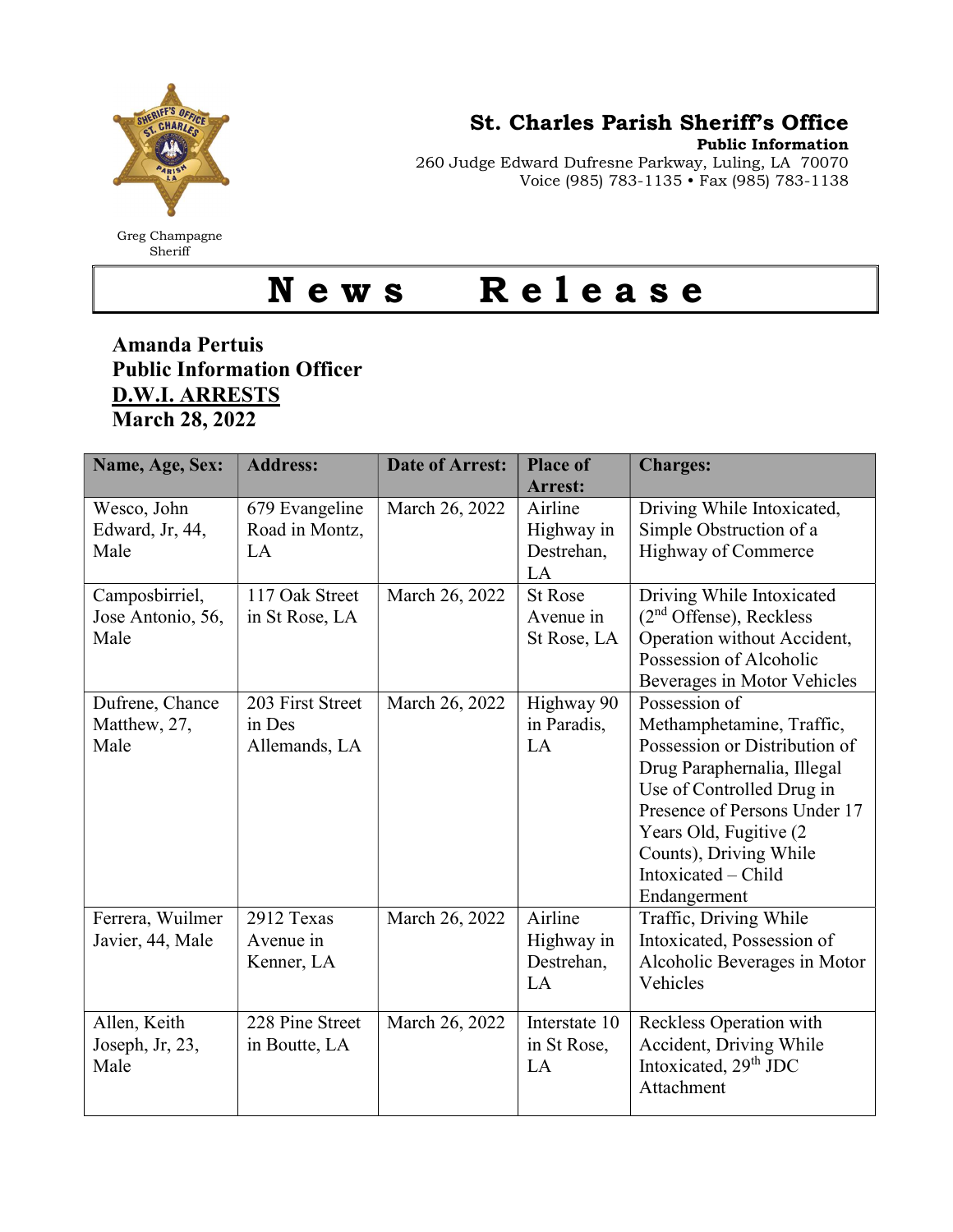

Greg Champagne Sheriff

St. Charles Parish Sheriff's Office

Public Information

260 Judge Edward Dufresne Parkway, Luling, LA 70070 Voice (985) 783-1135 • Fax (985) 783-1138

## News Release

## Amanda Pertuis Public Information Officer D.W.I. ARRESTS March 28, 2022

| Name, Age, Sex:   | <b>Address:</b>  | <b>Date of Arrest:</b> | <b>Place of</b><br><b>Arrest:</b> | <b>Charges:</b>                   |
|-------------------|------------------|------------------------|-----------------------------------|-----------------------------------|
| Wesco, John       | 679 Evangeline   | March 26, 2022         | Airline                           | Driving While Intoxicated,        |
| Edward, Jr, 44,   | Road in Montz,   |                        | Highway in                        | Simple Obstruction of a           |
| Male              | LA               |                        | Destrehan,                        | Highway of Commerce               |
|                   |                  |                        | LA                                |                                   |
| Camposbirriel,    | 117 Oak Street   | March 26, 2022         | <b>St Rose</b>                    | Driving While Intoxicated         |
| Jose Antonio, 56, | in St Rose, LA   |                        | Avenue in                         | $(2nd$ Offense), Reckless         |
| Male              |                  |                        | St Rose, LA                       | Operation without Accident,       |
|                   |                  |                        |                                   | Possession of Alcoholic           |
|                   |                  |                        |                                   | Beverages in Motor Vehicles       |
| Dufrene, Chance   | 203 First Street | March 26, 2022         | Highway 90                        | Possession of                     |
| Matthew, 27,      | in Des           |                        | in Paradis,                       | Methamphetamine, Traffic,         |
| Male              | Allemands, LA    |                        | LA                                | Possession or Distribution of     |
|                   |                  |                        |                                   | Drug Paraphernalia, Illegal       |
|                   |                  |                        |                                   | Use of Controlled Drug in         |
|                   |                  |                        |                                   | Presence of Persons Under 17      |
|                   |                  |                        |                                   | Years Old, Fugitive (2)           |
|                   |                  |                        |                                   | Counts), Driving While            |
|                   |                  |                        |                                   | Intoxicated – Child               |
|                   |                  |                        |                                   | Endangerment                      |
| Ferrera, Wuilmer  | 2912 Texas       | March 26, 2022         | Airline                           | Traffic, Driving While            |
| Javier, 44, Male  | Avenue in        |                        | Highway in                        | Intoxicated, Possession of        |
|                   | Kenner, LA       |                        | Destrehan,                        | Alcoholic Beverages in Motor      |
|                   |                  |                        | LA                                | Vehicles                          |
| Allen, Keith      | 228 Pine Street  | March 26, 2022         | Interstate 10                     | Reckless Operation with           |
| Joseph, Jr, 23,   | in Boutte, LA    |                        | in St Rose,                       | Accident, Driving While           |
| Male              |                  |                        | LA                                | Intoxicated, 29 <sup>th</sup> JDC |
|                   |                  |                        |                                   | Attachment                        |
|                   |                  |                        |                                   |                                   |